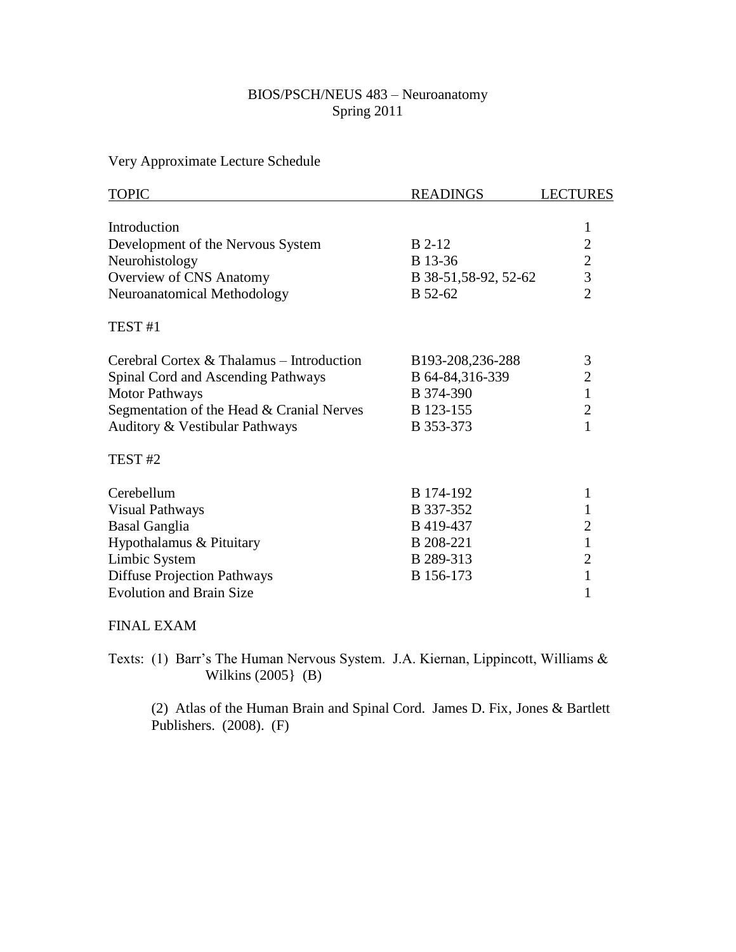## BIOS/PSCH/NEUS 483 – Neuroanatomy Spring 2011

Very Approximate Lecture Schedule

| <b>TOPIC</b>                              | <b>READINGS</b>       | <b>LECTURES</b>                            |
|-------------------------------------------|-----------------------|--------------------------------------------|
| Introduction                              |                       | $\mathbf{1}$                               |
| Development of the Nervous System         | <b>B</b> 2-12         |                                            |
| Neurohistology                            | B 13-36               |                                            |
| Overview of CNS Anatomy                   | B 38-51, 58-92, 52-62 | $\begin{array}{c} 2 \\ 2 \\ 3 \end{array}$ |
| Neuroanatomical Methodology               | B 52-62               | $\overline{2}$                             |
| TEST <sub>#1</sub>                        |                       |                                            |
| Cerebral Cortex & Thalamus - Introduction | B193-208,236-288      | 3                                          |
| Spinal Cord and Ascending Pathways        | B 64-84,316-339       | $\overline{2}$                             |
| <b>Motor Pathways</b>                     | B 374-390             | $\mathbf{1}$                               |
| Segmentation of the Head & Cranial Nerves | B 123-155             | $\overline{2}$                             |
| Auditory & Vestibular Pathways            | B 353-373             | 1                                          |
| TEST <sub>#2</sub>                        |                       |                                            |
| Cerebellum                                | B 174-192             | 1                                          |
| <b>Visual Pathways</b>                    | B 337-352             | 1                                          |
| <b>Basal Ganglia</b>                      | B 419-437             | $\overline{c}$                             |
| Hypothalamus & Pituitary                  | B 208-221             | $\mathbf{1}$                               |
| Limbic System                             | B 289-313             | $\overline{2}$                             |
| <b>Diffuse Projection Pathways</b>        | B 156-173             | 1                                          |
| <b>Evolution and Brain Size</b>           |                       | 1                                          |

## FINAL EXAM

Texts: (1) Barr's The Human Nervous System. J.A. Kiernan, Lippincott, Williams & Wilkins (2005} (B)

(2) Atlas of the Human Brain and Spinal Cord. James D. Fix, Jones & Bartlett Publishers. (2008). (F)